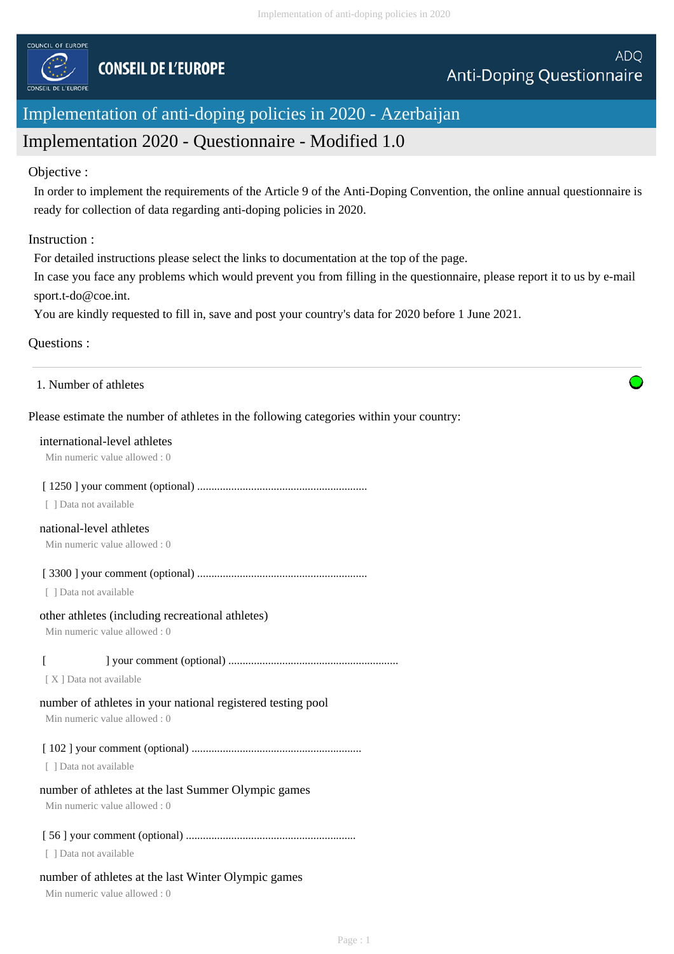

# Implementation of anti-doping policies in 2020 - Azerbaijan

# Implementation 2020 - Questionnaire - Modified 1.0

#### Objective :

In order to implement the requirements of the Article 9 of the Anti-Doping Convention, the online annual questionnaire is ready for collection of data regarding anti-doping policies in 2020.

## Instruction :

For detailed instructions please select the links to documentation at the top of the page.

In case you face any problems which would prevent you from filling in the questionnaire, please report it to us by e-mail sport.t-do@coe.int.

You are kindly requested to fill in, save and post your country's data for 2020 before 1 June 2021.

## Questions :

## Please estimate the number of athletes in the following categories within your country:

#### international-level athletes

Min numeric value allowed : 0

#### [ 1250 ] your comment (optional) ............................................................

[ ] Data not available

## national-level athletes

Min numeric value allowed : 0

[ 3300 ] your comment (optional) ............................................................

[ ] Data not available

#### other athletes (including recreational athletes)

Min numeric value allowed : 0

## [ ] your comment (optional) ............................................................

[X] Data not available

# number of athletes in your national registered testing pool

Min numeric value allowed : 0

# [ 102 ] your comment (optional) ............................................................

[ ] Data not available

# number of athletes at the last Summer Olympic games

Min numeric value allowed : 0

# [ 56 ] your comment (optional) ............................................................

[ ] Data not available

# number of athletes at the last Winter Olympic games

Min numeric value allowed : 0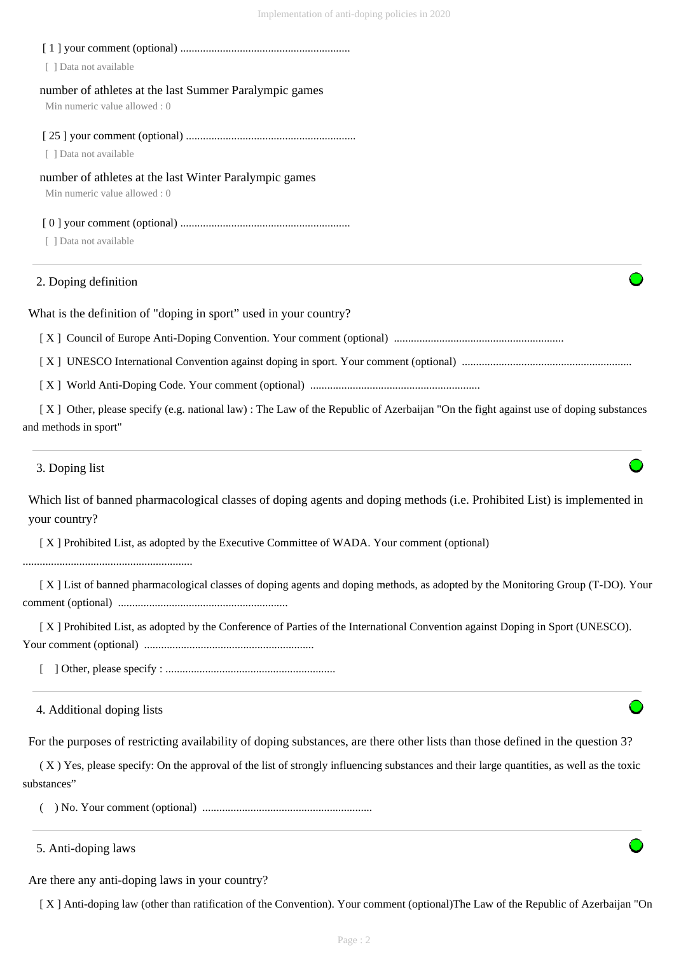| 2. Doping definition                                                                    |  |
|-----------------------------------------------------------------------------------------|--|
| Data not available                                                                      |  |
| number of athletes at the last Winter Paralympic games<br>Min numeric value allowed : 0 |  |
| [ ] Data not available                                                                  |  |
| number of athletes at the last Summer Paralympic games<br>Min numeric value allowed : 0 |  |
| Data not available                                                                      |  |

What is the definition of "doping in sport" used in your country?

[ X ] Council of Europe Anti-Doping Convention. Your comment (optional) ............................................................

[ X ] UNESCO International Convention against doping in sport. Your comment (optional) ............................................................

[ X ] World Anti-Doping Code. Your comment (optional) ............................................................

 [ X ] Other, please specify (e.g. national law) : The Law of the Republic of Azerbaijan "On the fight against use of doping substances and methods in sport"

3. Doping list

Which list of banned pharmacological classes of doping agents and doping methods (i.e. Prohibited List) is implemented in your country?

[ X ] Prohibited List, as adopted by the Executive Committee of WADA. Your comment (optional)

............................................................

 [ X ] List of banned pharmacological classes of doping agents and doping methods, as adopted by the Monitoring Group (T-DO). Your comment (optional) ............................................................

 [ X ] Prohibited List, as adopted by the Conference of Parties of the International Convention against Doping in Sport (UNESCO). Your comment (optional) ............................................................

[ ] Other, please specify : ............................................................

4. Additional doping lists

For the purposes of restricting availability of doping substances, are there other lists than those defined in the question 3?

 ( X ) Yes, please specify: On the approval of the list of strongly influencing substances and their large quantities, as well as the toxic substances"

( ) No. Your comment (optional) ............................................................

5. Anti-doping laws

Are there any anti-doping laws in your country?

[ X ] Anti-doping law (other than ratification of the Convention). Your comment (optional)The Law of the Republic of Azerbaijan "On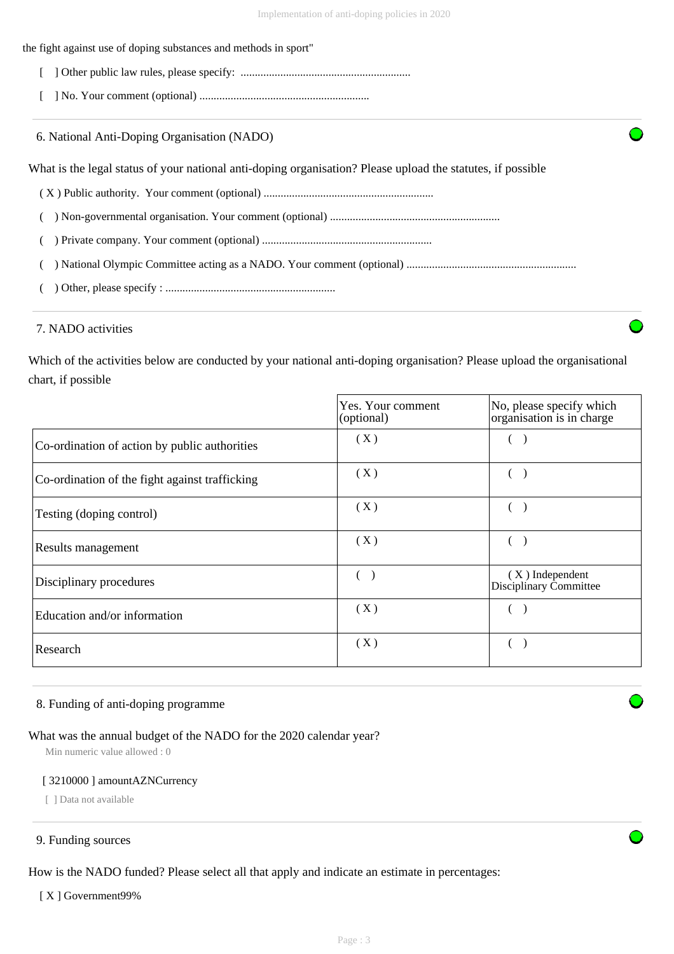| the fight against use of doping substances and methods in sport"                                            |  |
|-------------------------------------------------------------------------------------------------------------|--|
|                                                                                                             |  |
|                                                                                                             |  |
| 6. National Anti-Doping Organisation (NADO)                                                                 |  |
| What is the legal status of your national anti-doping organisation? Please upload the statures, if possible |  |
|                                                                                                             |  |
|                                                                                                             |  |
|                                                                                                             |  |
|                                                                                                             |  |
|                                                                                                             |  |

## 7. NADO activities

Which of the activities below are conducted by your national anti-doping organisation? Please upload the organisational chart, if possible

|                                                | Yes. Your comment<br>(optional) | No, please specify which<br>organisation is in charge |
|------------------------------------------------|---------------------------------|-------------------------------------------------------|
| Co-ordination of action by public authorities  | (X)                             |                                                       |
| Co-ordination of the fight against trafficking | (X)                             |                                                       |
| Testing (doping control)                       | (X)                             |                                                       |
| Results management                             | (X)                             |                                                       |
| Disciplinary procedures                        | $\sqrt{2}$                      | $(X)$ Independent<br>Disciplinary Committee           |
| Education and/or information                   | (X)                             |                                                       |
| Research                                       | (X)                             |                                                       |

## 8. Funding of anti-doping programme

## What was the annual budget of the NADO for the 2020 calendar year?

Min numeric value allowed : 0

#### [ 3210000 ] amountAZNCurrency

[ ] Data not available

## 9. Funding sources

How is the NADO funded? Please select all that apply and indicate an estimate in percentages:

#### [X] Government99%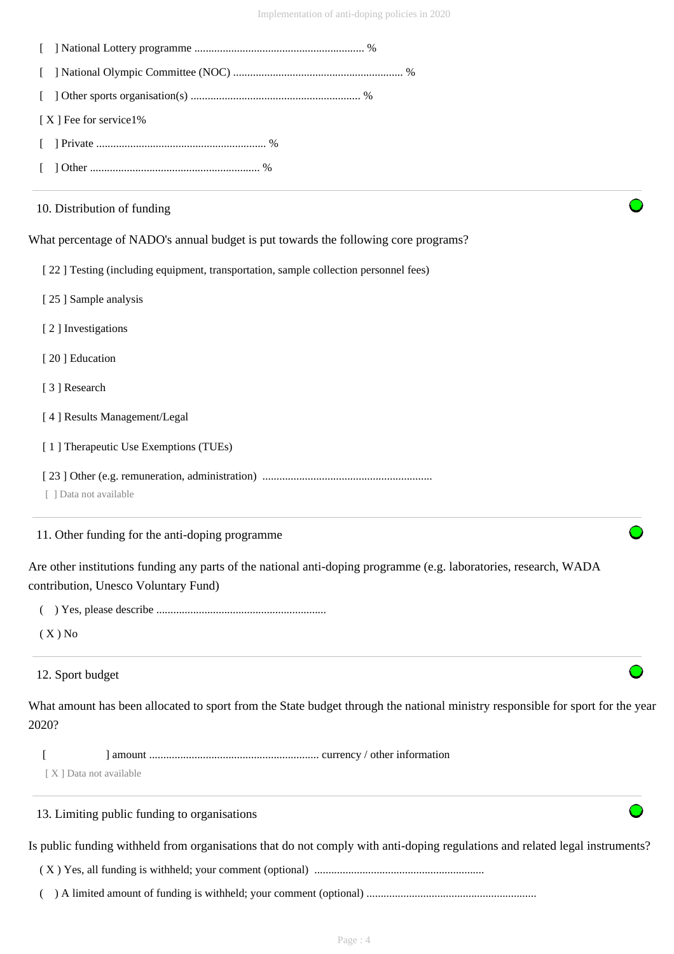| [X] Fee for service1%                                                                                                                                     |
|-----------------------------------------------------------------------------------------------------------------------------------------------------------|
|                                                                                                                                                           |
|                                                                                                                                                           |
| 10. Distribution of funding                                                                                                                               |
| What percentage of NADO's annual budget is put towards the following core programs?                                                                       |
| [22] Testing (including equipment, transportation, sample collection personnel fees)                                                                      |
| [25] Sample analysis                                                                                                                                      |
| [2] Investigations                                                                                                                                        |
| [20] Education                                                                                                                                            |
| [3] Research                                                                                                                                              |
| [4] Results Management/Legal                                                                                                                              |
| [1] Therapeutic Use Exemptions (TUEs)                                                                                                                     |
| [ ] Data not available                                                                                                                                    |
| 11. Other funding for the anti-doping programme                                                                                                           |
| Are other institutions funding any parts of the national anti-doping programme (e.g. laboratories, research, WADA<br>contribution, Unesco Voluntary Fund) |
|                                                                                                                                                           |
| $(X)$ No                                                                                                                                                  |
| 12. Sport budget                                                                                                                                          |
| What amount has been allocated to sport from the State budget through the national ministry responsible for sport for the year<br>2020?                   |
| [X] Data not available                                                                                                                                    |
| 13. Limiting public funding to organisations                                                                                                              |
| Is public funding withheld from organisations that do not comply with anti-doping regulations and related legal instruments?                              |
|                                                                                                                                                           |
|                                                                                                                                                           |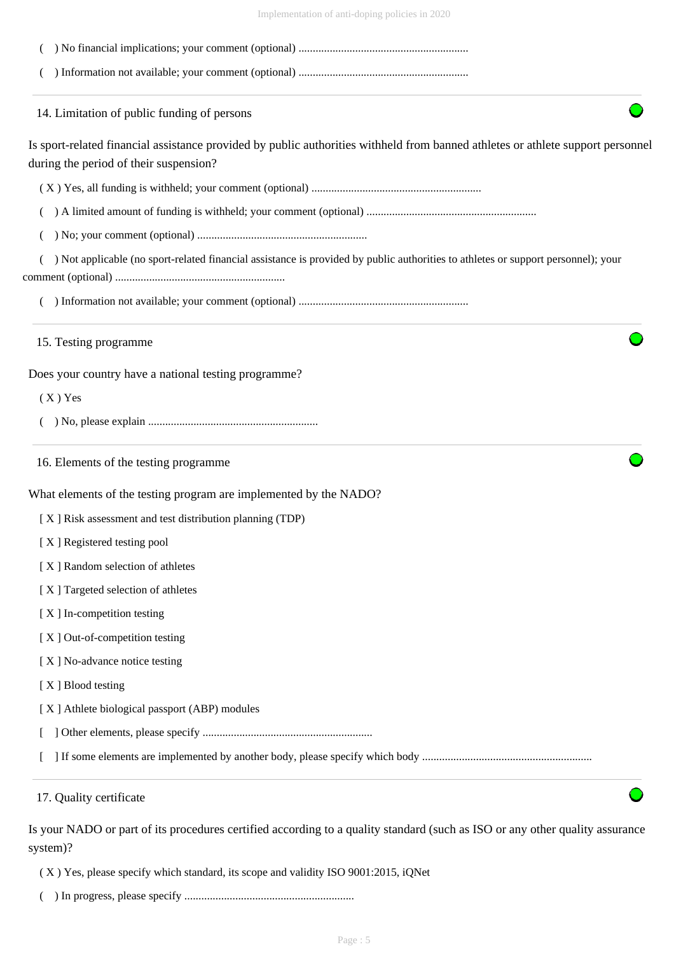| Implementation of anti-doping policies in 2020 |  |  |
|------------------------------------------------|--|--|
|                                                |  |  |

| 14. Limitation of public funding of persons   |                                                                                                                                   |
|-----------------------------------------------|-----------------------------------------------------------------------------------------------------------------------------------|
|                                               | Is sport-related financial assistance provided by public authorities withheld from banned athletes or athlete support personnel   |
| during the period of their suspension?        |                                                                                                                                   |
|                                               |                                                                                                                                   |
|                                               |                                                                                                                                   |
|                                               |                                                                                                                                   |
|                                               | ) Not applicable (no sport-related financial assistance is provided by public authorities to athletes or support personnel); your |
|                                               |                                                                                                                                   |
| 15. Testing programme                         |                                                                                                                                   |
|                                               | Does your country have a national testing programme?                                                                              |
| $(X)$ Yes                                     |                                                                                                                                   |
|                                               |                                                                                                                                   |
| 16. Elements of the testing programme         |                                                                                                                                   |
|                                               | What elements of the testing program are implemented by the NADO?                                                                 |
|                                               | [X] Risk assessment and test distribution planning (TDP)                                                                          |
| [X] Registered testing pool                   |                                                                                                                                   |
| [X] Random selection of athletes              |                                                                                                                                   |
| [X] Targeted selection of athletes            |                                                                                                                                   |
| [X] In-competition testing                    |                                                                                                                                   |
| [X] Out-of-competition testing                |                                                                                                                                   |
| [X] No-advance notice testing                 |                                                                                                                                   |
| [X] Blood testing                             |                                                                                                                                   |
| [X] Athlete biological passport (ABP) modules |                                                                                                                                   |
|                                               |                                                                                                                                   |
|                                               |                                                                                                                                   |

system)? ( X ) Yes, please specify which standard, its scope and validity ISO 9001:2015, iQNet

( ) In progress, please specify ............................................................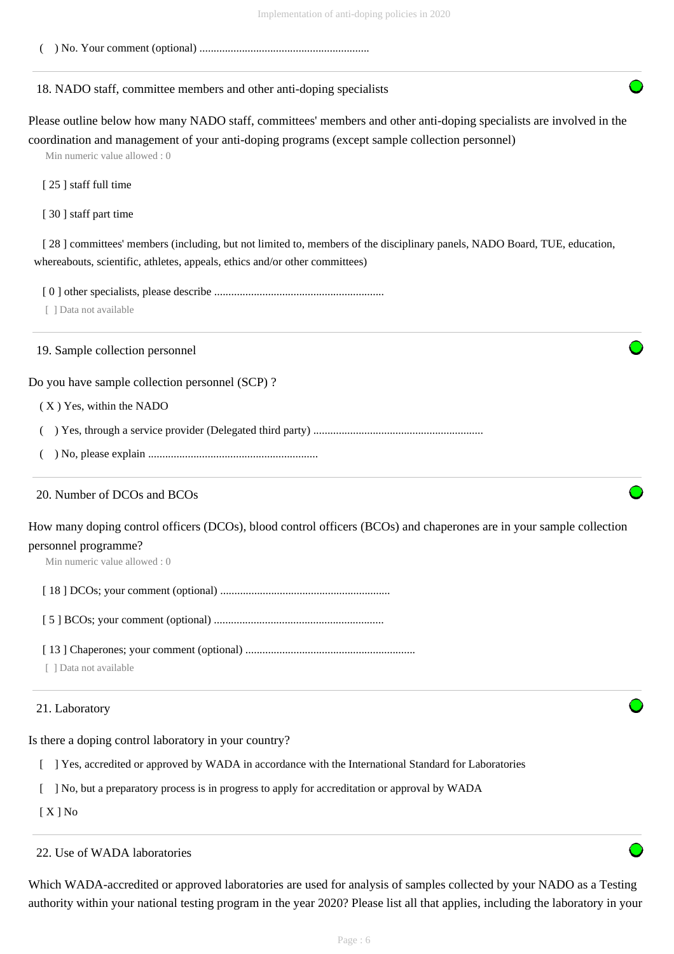( ) No. Your comment (optional) ............................................................

## 18. NADO staff, committee members and other anti-doping specialists

Please outline below how many NADO staff, committees' members and other anti-doping specialists are involved in the coordination and management of your anti-doping programs (except sample collection personnel)

Min numeric value allowed : 0

[ 25 ] staff full time

[ 30 ] staff part time

[ 28 ] committees' members (including, but not limited to, members of the disciplinary panels, NADO Board, TUE, education, whereabouts, scientific, athletes, appeals, ethics and/or other committees)

[ 0 ] other specialists, please describe ............................................................

[ ] Data not available

19. Sample collection personnel

Do you have sample collection personnel (SCP) ?

( X ) Yes, within the NADO

( ) Yes, through a service provider (Delegated third party) ............................................................

( ) No, please explain ............................................................

#### 20. Number of DCOs and BCOs

How many doping control officers (DCOs), blood control officers (BCOs) and chaperones are in your sample collection personnel programme?

Min numeric value allowed : 0

[ 18 ] DCOs; your comment (optional) ............................................................

[ 5 ] BCOs; your comment (optional) ............................................................

[ 13 ] Chaperones; your comment (optional) ............................................................

[ ] Data not available

#### 21. Laboratory

Is there a doping control laboratory in your country?

[ ] Yes, accredited or approved by WADA in accordance with the International Standard for Laboratories

[ ] No, but a preparatory process is in progress to apply for accreditation or approval by WADA

[ X ] No

## 22. Use of WADA laboratories

Which WADA-accredited or approved laboratories are used for analysis of samples collected by your NADO as a Testing authority within your national testing program in the year 2020? Please list all that applies, including the laboratory in your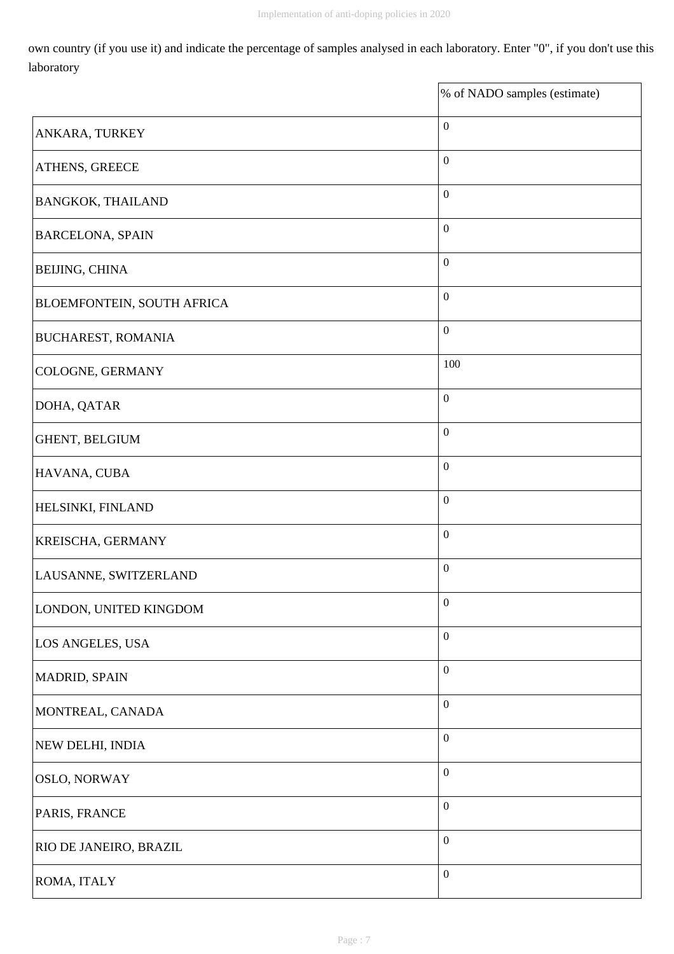own country (if you use it) and indicate the percentage of samples analysed in each laboratory. Enter "0", if you don't use this laboratory

|                                   | % of NADO samples (estimate) |
|-----------------------------------|------------------------------|
| ANKARA, TURKEY                    | $\boldsymbol{0}$             |
| ATHENS, GREECE                    | $\boldsymbol{0}$             |
| <b>BANGKOK, THAILAND</b>          | $\boldsymbol{0}$             |
| <b>BARCELONA, SPAIN</b>           | $\boldsymbol{0}$             |
| <b>BEIJING, CHINA</b>             | $\boldsymbol{0}$             |
| <b>BLOEMFONTEIN, SOUTH AFRICA</b> | $\boldsymbol{0}$             |
| <b>BUCHAREST, ROMANIA</b>         | $\boldsymbol{0}$             |
| COLOGNE, GERMANY                  | 100                          |
| DOHA, QATAR                       | $\boldsymbol{0}$             |
| GHENT, BELGIUM                    | $\boldsymbol{0}$             |
| HAVANA, CUBA                      | $\boldsymbol{0}$             |
| HELSINKI, FINLAND                 | $\boldsymbol{0}$             |
| KREISCHA, GERMANY                 | $\boldsymbol{0}$             |
| LAUSANNE, SWITZERLAND             | $\boldsymbol{0}$             |
| LONDON, UNITED KINGDOM            | $\boldsymbol{0}$             |
| LOS ANGELES, USA                  | $\boldsymbol{0}$             |
| MADRID, SPAIN                     | $\boldsymbol{0}$             |
| MONTREAL, CANADA                  | $\boldsymbol{0}$             |
| NEW DELHI, INDIA                  | $\boldsymbol{0}$             |
| <b>OSLO, NORWAY</b>               | $\boldsymbol{0}$             |
| PARIS, FRANCE                     | $\boldsymbol{0}$             |
| RIO DE JANEIRO, BRAZIL            | $\boldsymbol{0}$             |
| ROMA, ITALY                       | $\boldsymbol{0}$             |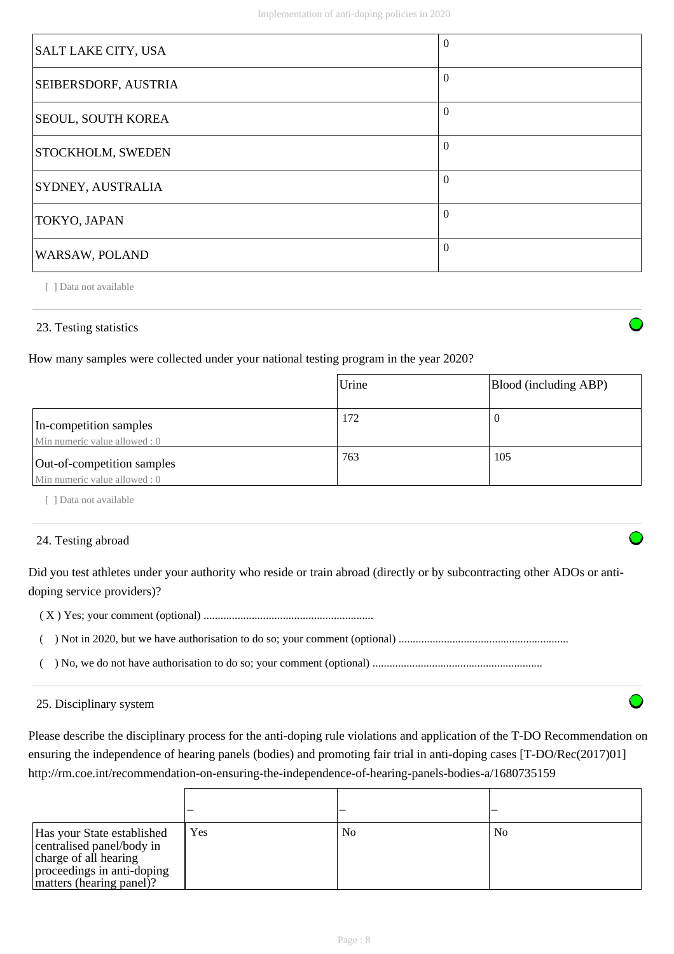| SALT LAKE CITY, USA      | $\Omega$ |
|--------------------------|----------|
| SEIBERSDORF, AUSTRIA     | $\Omega$ |
| SEOUL, SOUTH KOREA       | $\Omega$ |
| <b>STOCKHOLM, SWEDEN</b> | $\Omega$ |
| SYDNEY, AUSTRALIA        | $\Omega$ |
| TOKYO, JAPAN             | $\Omega$ |
| WARSAW, POLAND           | $\Omega$ |

## 23. Testing statistics

How many samples were collected under your national testing program in the year 2020?

|                                                             | Urine | Blood (including ABP) |
|-------------------------------------------------------------|-------|-----------------------|
| In-competition samples<br>Min numeric value allowed : 0     | 172   |                       |
| Out-of-competition samples<br>Min numeric value allowed : 0 | 763   | 105                   |

[ ] Data not available

#### 24. Testing abroad

Did you test athletes under your authority who reside or train abroad (directly or by subcontracting other ADOs or antidoping service providers)?

( X ) Yes; your comment (optional) ............................................................

 $\mathsf{r}$ 

( ) Not in 2020, but we have authorisation to do so; your comment (optional) ............................................................

( ) No, we do not have authorisation to do so; your comment (optional) ............................................................

#### 25. Disciplinary system

Please describe the disciplinary process for the anti-doping rule violations and application of the T-DO Recommendation on ensuring the independence of hearing panels (bodies) and promoting fair trial in anti-doping cases [T-DO/Rec(2017)01] http://rm.coe.int/recommendation-on-ensuring-the-independence-of-hearing-panels-bodies-a/1680735159

| Has your State established<br>centralised panel/body in<br>charge of all hearing<br>proceedings in anti-doping<br>matters (hearing panel)? | Yes | N <sub>0</sub> | No |
|--------------------------------------------------------------------------------------------------------------------------------------------|-----|----------------|----|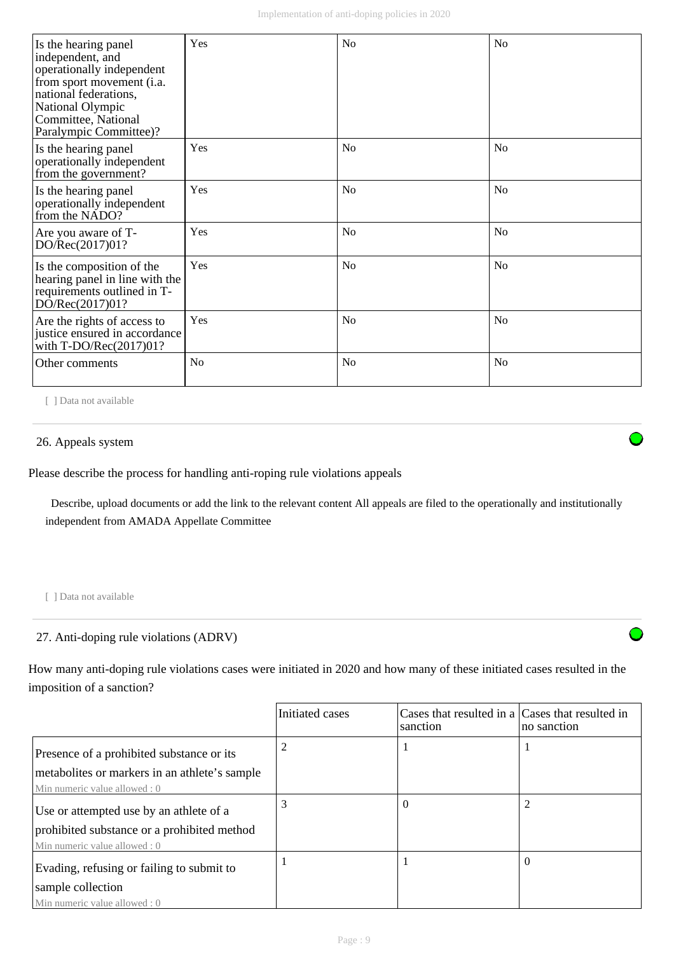| Is the hearing panel<br>independent, and<br>operationally independent<br>from sport movement (i.a.<br>national federations,<br>National Olympic<br>Committee, National | Yes            | No             | No             |
|------------------------------------------------------------------------------------------------------------------------------------------------------------------------|----------------|----------------|----------------|
| Paralympic Committee)?                                                                                                                                                 |                |                |                |
| Is the hearing panel<br>operationally independent<br>from the government?                                                                                              | Yes            | N <sub>o</sub> | N <sub>0</sub> |
| Is the hearing panel<br>operationally independent<br>from the NADO?                                                                                                    | Yes            | N <sub>o</sub> | N <sub>0</sub> |
| Are you aware of T-<br>DO/Rec(2017)01?                                                                                                                                 | Yes            | N <sub>0</sub> | N <sub>0</sub> |
| Is the composition of the<br>hearing panel in line with the<br>requirements outlined in T-<br>DO/Rec(2017)01?                                                          | Yes            | N <sub>o</sub> | N <sub>0</sub> |
| Are the rights of access to<br>justice ensured in accordance<br>with $T\text{-DO/Rec}(2017)01?$                                                                        | Yes            | N <sub>0</sub> | N <sub>o</sub> |
| Other comments                                                                                                                                                         | N <sub>0</sub> | N <sub>o</sub> | N <sub>0</sub> |

#### 26. Appeals system

Please describe the process for handling anti-roping rule violations appeals

 Describe, upload documents or add the link to the relevant content All appeals are filed to the operationally and institutionally independent from AMADA Appellate Committee

[ ] Data not available

## 27. Anti-doping rule violations (ADRV)

How many anti-doping rule violations cases were initiated in 2020 and how many of these initiated cases resulted in the imposition of a sanction?

|                                               | Initiated cases | Cases that resulted in a Cases that resulted in<br>sanction | no sanction    |
|-----------------------------------------------|-----------------|-------------------------------------------------------------|----------------|
| Presence of a prohibited substance or its     |                 |                                                             |                |
| metabolites or markers in an athlete's sample |                 |                                                             |                |
| Min numeric value allowed: 0                  |                 |                                                             |                |
| Use or attempted use by an athlete of a       |                 | 0                                                           | $\overline{2}$ |
| prohibited substance or a prohibited method   |                 |                                                             |                |
| Min numeric value allowed: 0                  |                 |                                                             |                |
| Evading, refusing or failing to submit to     |                 |                                                             | $\Omega$       |
| sample collection                             |                 |                                                             |                |
| Min numeric value allowed: 0                  |                 |                                                             |                |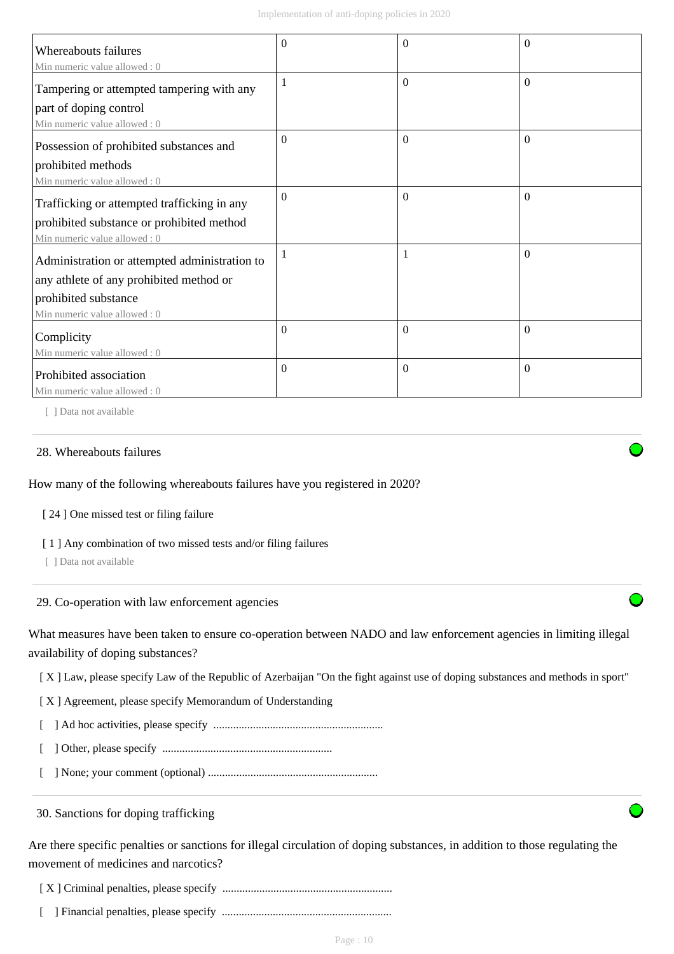| <b>Whereabouts failures</b>                                         | $\Omega$     | 0              | $\Omega$ |
|---------------------------------------------------------------------|--------------|----------------|----------|
| Min numeric value allowed: 0                                        | $\mathbf{1}$ | $\Omega$       | $\Omega$ |
| Tampering or attempted tampering with any<br>part of doping control |              |                |          |
| Min numeric value allowed: 0                                        |              |                |          |
| Possession of prohibited substances and                             | $\Omega$     | $\Omega$       | $\Omega$ |
| prohibited methods                                                  |              |                |          |
| Min numeric value allowed: 0                                        |              |                |          |
| Trafficking or attempted trafficking in any                         | $\mathbf{0}$ | $\overline{0}$ | $\Omega$ |
| prohibited substance or prohibited method                           |              |                |          |
| Min numeric value allowed: 0                                        |              |                |          |
| Administration or attempted administration to                       | 1            |                | $\theta$ |
| any athlete of any prohibited method or                             |              |                |          |
| prohibited substance                                                |              |                |          |
| Min numeric value allowed : 0                                       |              |                |          |
| Complicity                                                          | $\mathbf{0}$ | $\Omega$       | $\theta$ |
| Min numeric value allowed: 0                                        |              |                |          |
| Prohibited association                                              | $\Omega$     | $\Omega$       | $\theta$ |
| Min numeric value allowed: 0                                        |              |                |          |

#### 28. Whereabouts failures

How many of the following whereabouts failures have you registered in 2020?

[ 24 ] One missed test or filing failure

[ 1 ] Any combination of two missed tests and/or filing failures

[ ] Data not available

29. Co-operation with law enforcement agencies

What measures have been taken to ensure co-operation between NADO and law enforcement agencies in limiting illegal availability of doping substances?

[ X ] Law, please specify Law of the Republic of Azerbaijan "On the fight against use of doping substances and methods in sport"

[ X ] Agreement, please specify Memorandum of Understanding

[ ] Ad hoc activities, please specify ............................................................

[ ] Other, please specify ............................................................

[ ] None; your comment (optional) ............................................................

30. Sanctions for doping trafficking

Are there specific penalties or sanctions for illegal circulation of doping substances, in addition to those regulating the movement of medicines and narcotics?

[ X ] Criminal penalties, please specify ............................................................

[ ] Financial penalties, please specify ............................................................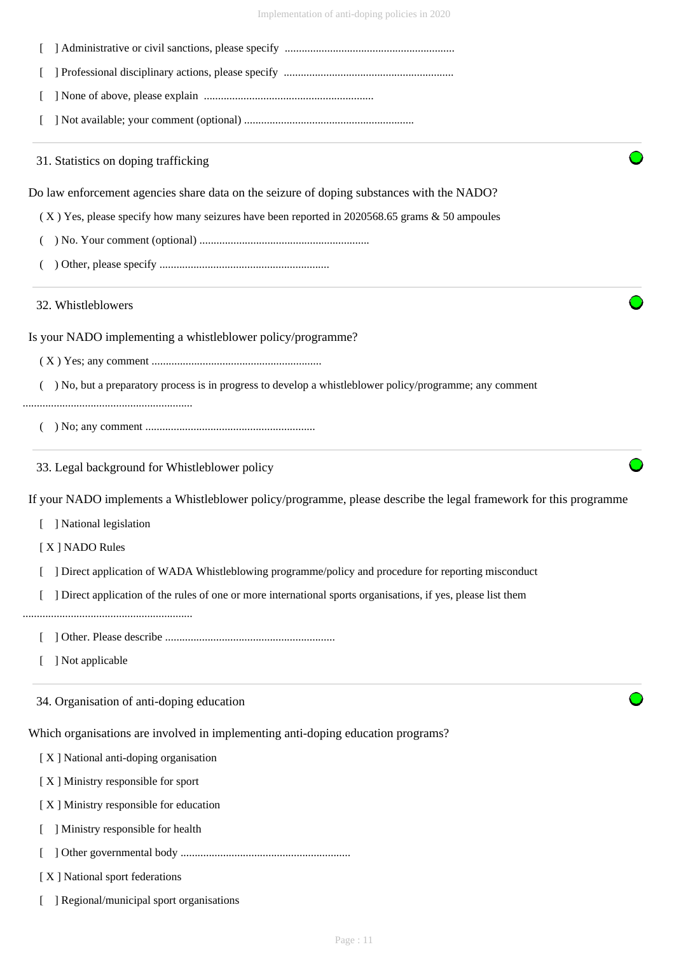Implementation of anti-doping policies in 2020

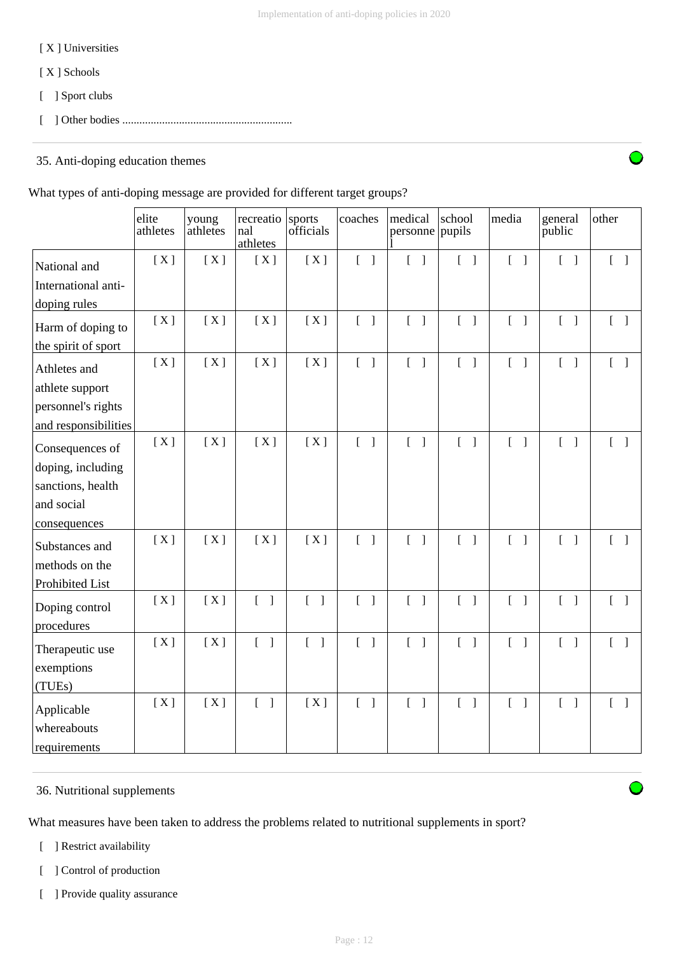## [ X ] Universities

- [ X ] Schools
- [ ] Sport clubs
- [ ] Other bodies ............................................................

# 35. Anti-doping education themes

## What types of anti-doping message are provided for different target groups?

|                      | elite<br>athletes | young<br>athletes | recreatio<br>nal<br>athletes          | sports<br>officials                   | coaches                           | medical<br>personne               | school<br>pupils                      | media                             | general<br>public                 | other                             |
|----------------------|-------------------|-------------------|---------------------------------------|---------------------------------------|-----------------------------------|-----------------------------------|---------------------------------------|-----------------------------------|-----------------------------------|-----------------------------------|
| National and         | [X]               | [X]               | [X]                                   | [X]                                   | $[\ ]$                            | $[\ ]$                            | $\begin{bmatrix} 1 \end{bmatrix}$     | $\begin{bmatrix} 1 \end{bmatrix}$ | $\begin{bmatrix} 1 \end{bmatrix}$ | $\begin{bmatrix} 1 \end{bmatrix}$ |
| International anti-  |                   |                   |                                       |                                       |                                   |                                   |                                       |                                   |                                   |                                   |
| doping rules         |                   |                   |                                       |                                       |                                   |                                   |                                       |                                   |                                   |                                   |
| Harm of doping to    | [X]               | [X]               | [X]                                   | [X]                                   | $\begin{bmatrix} 1 \end{bmatrix}$ | $\begin{bmatrix} 1 \end{bmatrix}$ | $\begin{bmatrix} 1 \end{bmatrix}$     | $\begin{bmatrix} 1 \end{bmatrix}$ | $\begin{bmatrix} 1 \end{bmatrix}$ | $\begin{bmatrix} 1 \end{bmatrix}$ |
| the spirit of sport  |                   |                   |                                       |                                       |                                   |                                   |                                       |                                   |                                   |                                   |
| Athletes and         | [X]               | [X]               | [X]                                   | [X]                                   | $\begin{bmatrix} 1 \end{bmatrix}$ | $\begin{bmatrix} 1 \end{bmatrix}$ | $\begin{bmatrix} 1 \end{bmatrix}$     | $\begin{bmatrix} 1 \end{bmatrix}$ | $\begin{bmatrix} 1 \end{bmatrix}$ | $\begin{bmatrix} 1 \end{bmatrix}$ |
| athlete support      |                   |                   |                                       |                                       |                                   |                                   |                                       |                                   |                                   |                                   |
| personnel's rights   |                   |                   |                                       |                                       |                                   |                                   |                                       |                                   |                                   |                                   |
| and responsibilities |                   |                   |                                       |                                       |                                   |                                   |                                       |                                   |                                   |                                   |
| Consequences of      | [X]               | [X]               | [X]                                   | [X]                                   | $[\ ]$                            | $\begin{bmatrix} 1 \end{bmatrix}$ | $\begin{bmatrix} 1 \end{bmatrix}$     | $\begin{bmatrix} 1 \end{bmatrix}$ | $\begin{bmatrix} 1 \end{bmatrix}$ | $\begin{bmatrix} 1 \end{bmatrix}$ |
| doping, including    |                   |                   |                                       |                                       |                                   |                                   |                                       |                                   |                                   |                                   |
| sanctions, health    |                   |                   |                                       |                                       |                                   |                                   |                                       |                                   |                                   |                                   |
| and social           |                   |                   |                                       |                                       |                                   |                                   |                                       |                                   |                                   |                                   |
| consequences         |                   |                   |                                       |                                       |                                   |                                   |                                       |                                   |                                   |                                   |
| Substances and       | [X]               | [X]               | [X]                                   | [X]                                   | $\begin{bmatrix} 1 \end{bmatrix}$ | $[ \ ]$                           | $\begin{bmatrix} 1 \end{bmatrix}$     | $\begin{bmatrix} 1 \end{bmatrix}$ | $\begin{bmatrix} 1 \end{bmatrix}$ | $\lceil \cdot \rceil$             |
| methods on the       |                   |                   |                                       |                                       |                                   |                                   |                                       |                                   |                                   |                                   |
| Prohibited List      |                   |                   |                                       |                                       |                                   |                                   |                                       |                                   |                                   |                                   |
| Doping control       | [X]               | [X]               | $\begin{bmatrix} 1 & 1 \end{bmatrix}$ | $\begin{bmatrix} 1 & 1 \end{bmatrix}$ | $\begin{bmatrix} 1 \end{bmatrix}$ | $\begin{bmatrix} 1 \end{bmatrix}$ | $\begin{bmatrix} 1 & 1 \end{bmatrix}$ | $\begin{bmatrix} 1 \end{bmatrix}$ | $\begin{bmatrix} 1 \end{bmatrix}$ | $\begin{bmatrix} 1 \end{bmatrix}$ |
| procedures           |                   |                   |                                       |                                       |                                   |                                   |                                       |                                   |                                   |                                   |
| Therapeutic use      | [X]               | [X]               | $\begin{bmatrix} 1 \end{bmatrix}$     | $[\ ]$                                | $\begin{bmatrix} 1 \end{bmatrix}$ | $\begin{bmatrix} 1 \end{bmatrix}$ | $\begin{bmatrix} 1 \end{bmatrix}$     | $\begin{bmatrix} 1 \end{bmatrix}$ | $\begin{bmatrix} 1 \end{bmatrix}$ | $\begin{bmatrix} 1 \end{bmatrix}$ |
| exemptions           |                   |                   |                                       |                                       |                                   |                                   |                                       |                                   |                                   |                                   |
| (TUEs)               |                   |                   |                                       |                                       |                                   |                                   |                                       |                                   |                                   |                                   |
| Applicable           | [X]               | [X]               | $\begin{bmatrix} 1 \end{bmatrix}$     | [X]                                   | $\begin{bmatrix} 1 \end{bmatrix}$ | $\begin{bmatrix} 1 \end{bmatrix}$ | $\begin{bmatrix} 1 \end{bmatrix}$     | $\begin{bmatrix} 1 \end{bmatrix}$ | $\begin{bmatrix} 1 \end{bmatrix}$ | $\begin{bmatrix} 1 \end{bmatrix}$ |
| whereabouts          |                   |                   |                                       |                                       |                                   |                                   |                                       |                                   |                                   |                                   |
| requirements         |                   |                   |                                       |                                       |                                   |                                   |                                       |                                   |                                   |                                   |

# 36. Nutritional supplements

What measures have been taken to address the problems related to nutritional supplements in sport?

- [ ] Restrict availability
- [ ] Control of production
- [ ] Provide quality assurance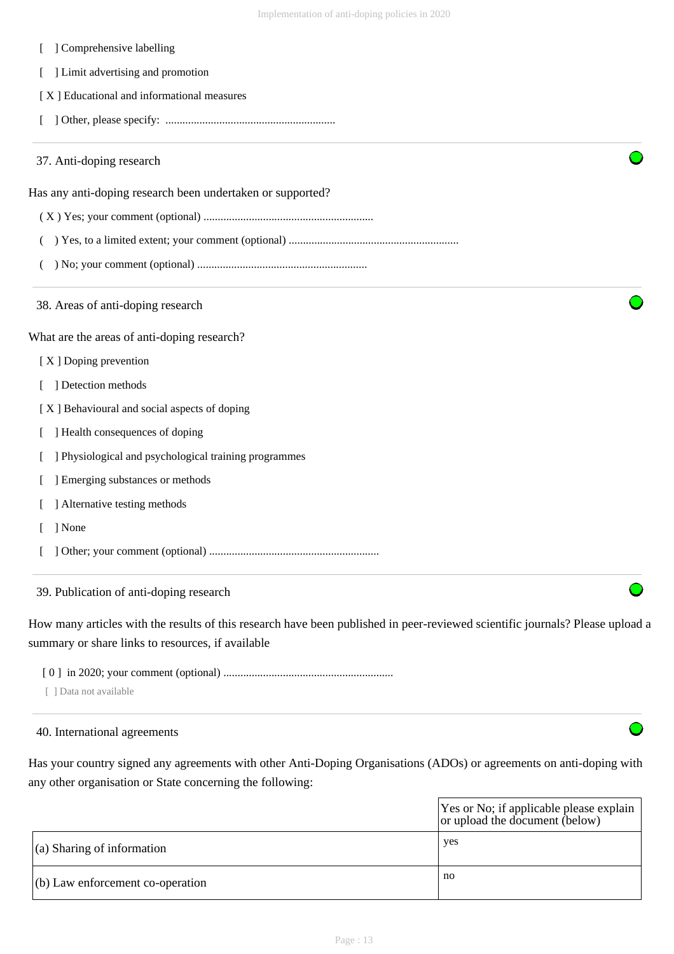| ] Comprehensive labelling                                  |  |  |  |  |  |
|------------------------------------------------------------|--|--|--|--|--|
| ] Limit advertising and promotion                          |  |  |  |  |  |
| [X] Educational and informational measures                 |  |  |  |  |  |
| L                                                          |  |  |  |  |  |
| 37. Anti-doping research                                   |  |  |  |  |  |
| Has any anti-doping research been undertaken or supported? |  |  |  |  |  |
|                                                            |  |  |  |  |  |
|                                                            |  |  |  |  |  |
|                                                            |  |  |  |  |  |
| 38. Areas of anti-doping research                          |  |  |  |  |  |
| What are the areas of anti-doping research?                |  |  |  |  |  |
| [X] Doping prevention                                      |  |  |  |  |  |
| ] Detection methods<br>L                                   |  |  |  |  |  |
| [X] Behavioural and social aspects of doping               |  |  |  |  |  |
| ] Health consequences of doping                            |  |  |  |  |  |
| ] Physiological and psychological training programmes      |  |  |  |  |  |
| ] Emerging substances or methods                           |  |  |  |  |  |
| ] Alternative testing methods                              |  |  |  |  |  |
| ] None                                                     |  |  |  |  |  |
|                                                            |  |  |  |  |  |
|                                                            |  |  |  |  |  |

39. Publication of anti-doping research

How many articles with the results of this research have been published in peer-reviewed scientific journals? Please upload a summary or share links to resources, if available

[ 0 ] in 2020; your comment (optional) ............................................................

[ ] Data not available

#### 40. International agreements

Has your country signed any agreements with other Anti-Doping Organisations (ADOs) or agreements on anti-doping with any other organisation or State concerning the following:

|                                    | Yes or No; if applicable please explain<br>or upload the document (below) |
|------------------------------------|---------------------------------------------------------------------------|
| $\vert$ (a) Sharing of information | yes                                                                       |
| $(6)$ Law enforcement co-operation | no                                                                        |